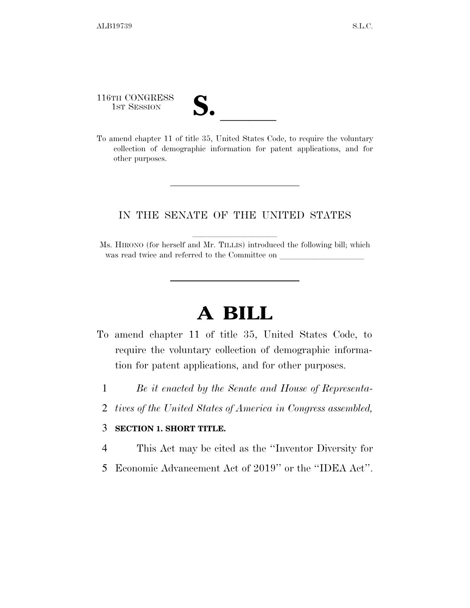116TH CONGRESS 116TH CONGRESS<br>
1ST SESSION<br>
To amend chapter 11 of title 35, United States Code, to require the voluntary

collection of demographic information for patent applications, and for other purposes.

#### IN THE SENATE OF THE UNITED STATES

Ms. HIRONO (for herself and Mr. TILLIS) introduced the following bill; which was read twice and referred to the Committee on

# **A BILL**

- To amend chapter 11 of title 35, United States Code, to require the voluntary collection of demographic information for patent applications, and for other purposes.
	- 1 *Be it enacted by the Senate and House of Representa-*
	- 2 *tives of the United States of America in Congress assembled,*

#### 3 **SECTION 1. SHORT TITLE.**

- 4 This Act may be cited as the ''Inventor Diversity for
- 5 Economic Advancement Act of 2019'' or the ''IDEA Act''.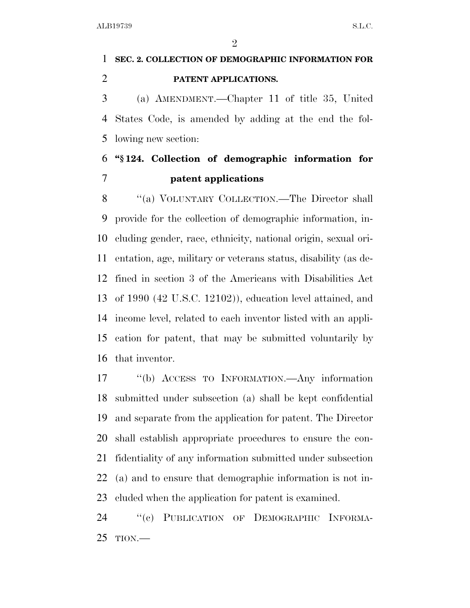## **SEC. 2. COLLECTION OF DEMOGRAPHIC INFORMATION FOR PATENT APPLICATIONS.**

 (a) AMENDMENT.—Chapter 11 of title 35, United States Code, is amended by adding at the end the fol-lowing new section:

### **''§ 124. Collection of demographic information for patent applications**

8 "(a) VOLUNTARY COLLECTION.—The Director shall provide for the collection of demographic information, in- cluding gender, race, ethnicity, national origin, sexual ori- entation, age, military or veterans status, disability (as de- fined in section 3 of the Americans with Disabilities Act of 1990 (42 U.S.C. 12102)), education level attained, and income level, related to each inventor listed with an appli- cation for patent, that may be submitted voluntarily by that inventor.

 ''(b) ACCESS TO INFORMATION.—Any information submitted under subsection (a) shall be kept confidential and separate from the application for patent. The Director shall establish appropriate procedures to ensure the con- fidentiality of any information submitted under subsection (a) and to ensure that demographic information is not in-cluded when the application for patent is examined.

 ''(c) PUBLICATION OF DEMOGRAPHIC INFORMA-TION.—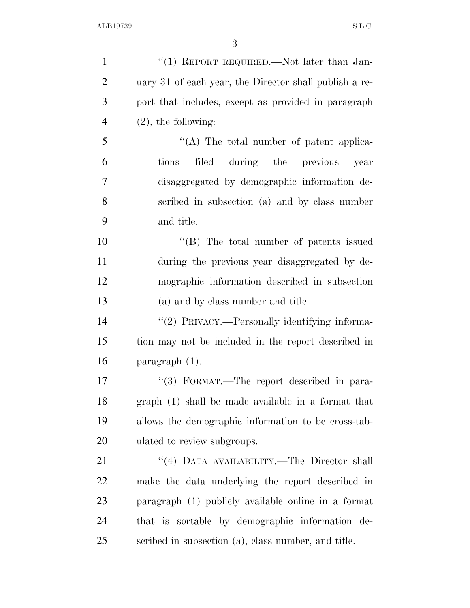| $\mathbf{1}$   | "(1) REPORT REQUIRED.—Not later than Jan-              |
|----------------|--------------------------------------------------------|
| $\overline{2}$ | uary 31 of each year, the Director shall publish a re- |
| 3              | port that includes, except as provided in paragraph    |
| $\overline{4}$ | $(2)$ , the following:                                 |
| 5              | "(A) The total number of patent applica-               |
| 6              | filed during the previous year<br>tions                |
| 7              | disaggregated by demographic information de-           |
| 8              | scribed in subsection (a) and by class number          |
| 9              | and title.                                             |
| 10             | "(B) The total number of patents issued                |
| 11             | during the previous year disaggregated by de-          |
| 12             | mographic information described in subsection          |
| 13             | (a) and by class number and title.                     |
| 14             | "(2) PRIVACY.—Personally identifying informa-          |
| 15             | tion may not be included in the report described in    |
| 16             | $\frac{1}{2}$ paragraph $(1)$ .                        |
| 17             | "(3) FORMAT.—The report described in para-             |
| 18             | graph (1) shall be made available in a format that     |
| 19             | allows the demographic information to be cross-tab-    |
| 20             | ulated to review subgroups.                            |
| 21             | "(4) DATA AVAILABILITY.—The Director shall             |
| 22             | make the data underlying the report described in       |
| 23             | paragraph (1) publicly available online in a format    |
| 24             | that is sortable by demographic information de-        |
| 25             | scribed in subsection (a), class number, and title.    |